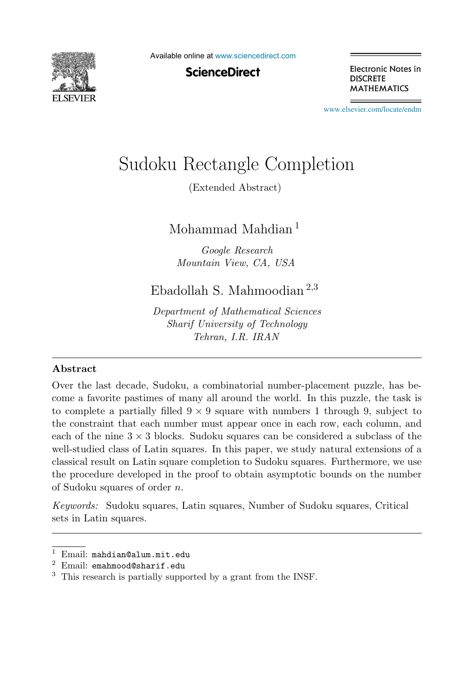

Available online at [www.sciencedirect.com](http://www.sciencedirect.com)

**ScienceDirect** 

Electronic Notes in **DISCRETE MATHEMATICS** 

[www.elsevier.com/locate/endm](http://www.elsevier.com/locate/endm)

# Sudoku Rectangle Completion

(Extended Abstract)

Mohammad Mahdian<sup>1</sup>

*Google Research Mountain View, CA, USA*

Ebadollah S. Mahmoodian <sup>2</sup>,<sup>3</sup>

*Department of Mathematical Sciences Sharif University of Technology Tehran, I.R. IRAN*

#### Abstract

Over the last decade, Sudoku, a combinatorial number-placement puzzle, has become a favorite pastimes of many all around the world. In this puzzle, the task is to complete a partially filled  $9 \times 9$  square with numbers 1 through 9, subject to the constraint that each number must appear once in each row, each column, and each of the nine  $3 \times 3$  blocks. Sudoku squares can be considered a subclass of the well-studied class of Latin squares. In this paper, we study natural extensions of a classical result on Latin square completion to Sudoku squares. Furthermore, we use the procedure developed in the proof to obtain asymptotic bounds on the number of Sudoku squares of order n.

*Keywords:* Sudoku squares, Latin squares, Number of Sudoku squares, Critical sets in Latin squares.

<sup>&</sup>lt;sup>1</sup> Email: mahdian@alum.mit.edu  $^2$  Email: emahmood@sharif.edu

<sup>&</sup>lt;sup>3</sup> This research is partially supported by a grant from the INSF.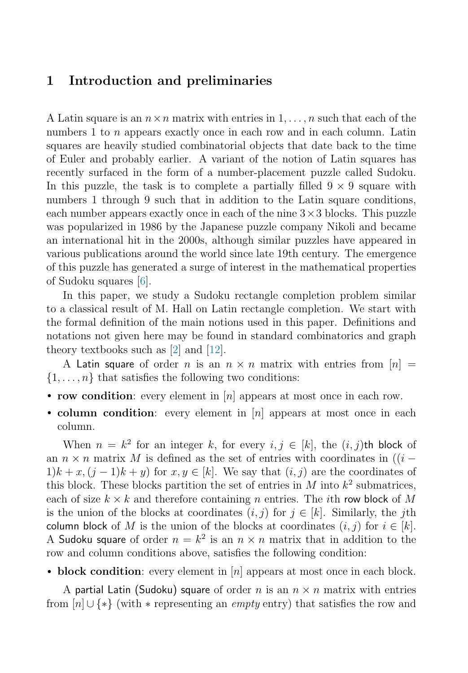#### 1 Introduction and preliminaries

A Latin square is an  $n \times n$  matrix with entries in  $1, \ldots, n$  such that each of the numbers 1 to  $n$  appears exactly once in each row and in each column. Latin squares are heavily studied combinatorial objects that date back to the time of Euler and probably earlier. A variant of the notion of Latin squares has recently surfaced in the form of a number-placement puzzle called Sudoku. In this puzzle, the task is to complete a partially filled  $9 \times 9$  square with numbers 1 through 9 such that in addition to the Latin square conditions, each number appears exactly once in each of the nine  $3 \times 3$  blocks. This puzzle was popularized in 1986 by the Japanese puzzle company Nikoli and became an international hit in the 2000s, although similar puzzles have appeared in various publications around the world since late 19th century. The emergence of this puzzle has generated a surge of interest in the mathematical properties of Sudoku squares [\[6\]](#page-7-0).

In this paper, we study a Sudoku rectangle completion problem similar to a classical result of M. Hall on Latin rectangle completion. We start with the formal definition of the main notions used in this paper. Definitions and notations not given here may be found in standard combinatorics and graph theory textbooks such as  $[2]$  and  $[12]$ .

A Latin square of order n is an  $n \times n$  matrix with entries from  $[n] =$  $\{1, \ldots, n\}$  that satisfies the following two conditions:

- row condition: every element in  $[n]$  appears at most once in each row.
- column condition: every element in  $[n]$  appears at most once in each column.

When  $n = k^2$  for an integer k, for every  $i, j \in [k]$ , the  $(i, j)$ th block of an  $n \times n$  matrix M is defined as the set of entries with coordinates in  $((i 1/k + x$ ,  $(j-1)k + y$  for  $x, y \in [k]$ . We say that  $(i, j)$  are the coordinates of this block. These blocks partition the set of entries in M into  $k^2$  submatrices, each of size  $k \times k$  and therefore containing n entries. The *i*th row block of M is the union of the blocks at coordinates  $(i, j)$  for  $j \in [k]$ . Similarly, the jth column block of M is the union of the blocks at coordinates  $(i, j)$  for  $i \in [k]$ . A Sudoku square of order  $n = k^2$  is an  $n \times n$  matrix that in addition to the row and column conditions above, satisfies the following condition:

• block condition: every element in  $[n]$  appears at most once in each block.

A partial Latin (Sudoku) square of order n is an  $n \times n$  matrix with entries from  $[n] \cup \{*\}$  (with  $*$  representing an *empty* entry) that satisfies the row and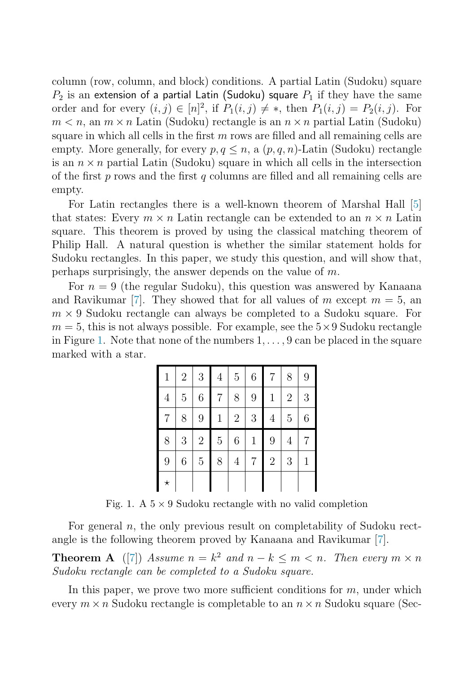column (row, column, and block) conditions. A partial Latin (Sudoku) square  $P_2$  is an extension of a partial Latin (Sudoku) square  $P_1$  if they have the same order and for every  $(i, j) \in [n]^2$ , if  $P_1(i, j) \neq *$ , then  $P_1(i, j) = P_2(i, j)$ . For  $m < n$ , an  $m \times n$  Latin (Sudoku) rectangle is an  $n \times n$  partial Latin (Sudoku) square in which all cells in the first  $m$  rows are filled and all remaining cells are empty. More generally, for every  $p, q \leq n$ , a  $(p, q, n)$ -Latin (Sudoku) rectangle is an  $n \times n$  partial Latin (Sudoku) square in which all cells in the intersection of the first  $p$  rows and the first  $q$  columns are filled and all remaining cells are empty.

For Latin rectangles there is a well-known theorem of Marshal Hall [\[5\]](#page-7-2) that states: Every  $m \times n$  Latin rectangle can be extended to an  $n \times n$  Latin square. This theorem is proved by using the classical matching theorem of Philip Hall. A natural question is whether the similar statement holds for Sudoku rectangles. In this paper, we study this question, and will show that, perhaps surprisingly, the answer depends on the value of m.

For  $n = 9$  (the regular Sudoku), this question was answered by Kanaana and Ravikumar [\[7\]](#page-7-3). They showed that for all values of m except  $m = 5$ , an  $m \times 9$  Sudoku rectangle can always be completed to a Sudoku square. For  $m = 5$ , this is not always possible. For example, see the  $5 \times 9$  Sudoku rectangle in Figure [1.](#page-2-0) Note that none of the numbers  $1, \ldots, 9$  can be placed in the square marked with a star.

<span id="page-2-1"></span>

| $\mathbf{1}$   | $\overline{2}$ | $\sqrt{3}$       | $\overline{4}$ | $\overline{5}$ | $\,6$        | 7               | 8              | 9           |
|----------------|----------------|------------------|----------------|----------------|--------------|-----------------|----------------|-------------|
| $\overline{4}$ | $\overline{5}$ | 6                | 7              | 8              | 9            | $\mathbf{1}$    | $\overline{2}$ | 3           |
| 7              | 8              | $\boldsymbol{9}$ | $\mathbf{1}$   | $\sqrt{2}$     | $\sqrt{3}$   | $\overline{4}$  | $\overline{5}$ | 6           |
|                |                |                  |                |                |              |                 |                |             |
| 8              | 3              | $\sqrt{2}$       | $\bf 5$        | 6              | $\mathbf{1}$ | $9\phantom{.0}$ | $\overline{4}$ | 7           |
| 9              | 6              | $\bf 5$          | 8              | $\overline{4}$ | 7            | $\overline{2}$  | 3              | $\mathbf 1$ |

<span id="page-2-0"></span>Fig. 1. A  $5 \times 9$  Sudoku rectangle with no valid completion

For general  $n$ , the only previous result on completability of Sudoku rectangle is the following theorem proved by Kanaana and Ravikumar [\[7\]](#page-7-3).

**Theorem A** ([\[7\]](#page-7-3)) Assume  $n = k^2$  and  $n - k \le m \le n$ . Then every  $m \times n$ Sudoku rectangle can be completed to a Sudoku square.

In this paper, we prove two more sufficient conditions for  $m$ , under which every  $m \times n$  Sudoku rectangle is completable to an  $n \times n$  Sudoku square (Sec-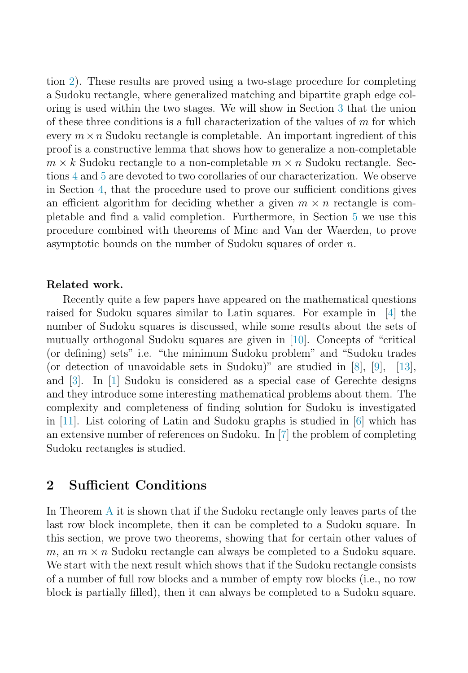tion [2\)](#page-3-0). These results are proved using a two-stage procedure for completing a Sudoku rectangle, where generalized matching and bipartite graph edge coloring is used within the two stages. We will show in Section [3](#page-5-0) that the union of these three conditions is a full characterization of the values of  $m$  for which every  $m \times n$  Sudoku rectangle is completable. An important ingredient of this proof is a constructive lemma that shows how to generalize a non-completable  $m \times k$  Sudoku rectangle to a non-completable  $m \times n$  Sudoku rectangle. Sections [4](#page-6-0) and [5](#page-6-1) are devoted to two corollaries of our characterization. We observe in Section [4,](#page-6-0) that the procedure used to prove our sufficient conditions gives an efficient algorithm for deciding whether a given  $m \times n$  rectangle is completable and find a valid completion. Furthermore, in Section [5](#page-6-1) we use this procedure combined with theorems of Minc and Van der Waerden, to prove asymptotic bounds on the number of Sudoku squares of order n.

#### Related work.

Recently quite a few papers have appeared on the mathematical questions raised for Sudoku squares similar to Latin squares. For example in [\[4\]](#page-7-4) the number of Sudoku squares is discussed, while some results about the sets of mutually orthogonal Sudoku squares are given in [\[10\]](#page-8-1). Concepts of "critical (or defining) sets" i.e. "the minimum Sudoku problem" and "Sudoku trades (or detection of unavoidable sets in Sudoku)" are studied in [\[8\]](#page-7-5), [\[9\]](#page-8-2), [\[13\]](#page-8-3), and [\[3\]](#page-7-6). In [\[1\]](#page-7-7) Sudoku is considered as a special case of Gerechte designs and they introduce some interesting mathematical problems about them. The complexity and completeness of finding solution for Sudoku is investigated in [\[11\]](#page-8-4). List coloring of Latin and Sudoku graphs is studied in [\[6\]](#page-7-0) which has an extensive number of references on Sudoku. In [\[7\]](#page-7-3) the problem of completing Sudoku rectangles is studied.

### <span id="page-3-0"></span>2 Sufficient Conditions

<span id="page-3-1"></span>In Theorem [A](#page-2-1) it is shown that if the Sudoku rectangle only leaves parts of the last row block incomplete, then it can be completed to a Sudoku square. In this section, we prove two theorems, showing that for certain other values of m, an  $m \times n$  Sudoku rectangle can always be completed to a Sudoku square. We start with the next result which shows that if the Sudoku rectangle consists of a number of full row blocks and a number of empty row blocks (i.e., no row block is partially filled), then it can always be completed to a Sudoku square.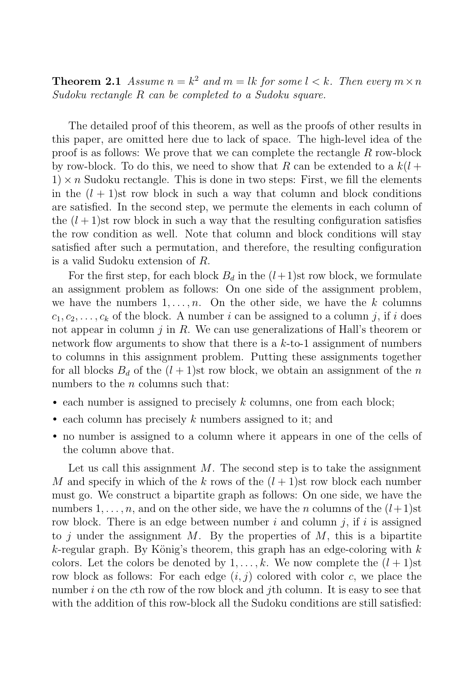**Theorem 2.1** Assume  $n = k^2$  and  $m = lk$  for some  $l < k$ . Then every  $m \times n$ Sudoku rectangle R can be completed to a Sudoku square.

The detailed proof of this theorem, as well as the proofs of other results in this paper, are omitted here due to lack of space. The high-level idea of the proof is as follows: We prove that we can complete the rectangle  $R$  row-block by row-block. To do this, we need to show that R can be extended to a  $k(l +$  $1 \times n$  Sudoku rectangle. This is done in two steps: First, we fill the elements in the  $(l + 1)$ st row block in such a way that column and block conditions are satisfied. In the second step, we permute the elements in each column of the  $(l+1)$ st row block in such a way that the resulting configuration satisfies the row condition as well. Note that column and block conditions will stay satisfied after such a permutation, and therefore, the resulting configuration is a valid Sudoku extension of R.

For the first step, for each block  $B_d$  in the  $(l+1)$ st row block, we formulate an assignment problem as follows: On one side of the assignment problem, we have the numbers  $1, \ldots, n$ . On the other side, we have the k columns  $c_1, c_2, \ldots, c_k$  of the block. A number i can be assigned to a column j, if i does not appear in column  $j$  in  $R$ . We can use generalizations of Hall's theorem or network flow arguments to show that there is a  $k$ -to-1 assignment of numbers to columns in this assignment problem. Putting these assignments together for all blocks  $B_d$  of the  $(l + 1)$ st row block, we obtain an assignment of the n numbers to the *n* columns such that:

- each number is assigned to precisely  $k$  columns, one from each block;
- each column has precisely  $k$  numbers assigned to it; and
- no number is assigned to a column where it appears in one of the cells of the column above that.

Let us call this assignment  $M$ . The second step is to take the assignment M and specify in which of the k rows of the  $(l+1)$ st row block each number must go. We construct a bipartite graph as follows: On one side, we have the numbers  $1, \ldots, n$ , and on the other side, we have the n columns of the  $(l+1)$ st row block. There is an edge between number i and column j, if i is assigned to j under the assignment M. By the properties of  $M$ , this is a bipartite  $k$ -regular graph. By König's theorem, this graph has an edge-coloring with  $k$ colors. Let the colors be denoted by  $1, \ldots, k$ . We now complete the  $(l + 1)$ st row block as follows: For each edge  $(i, j)$  colored with color c, we place the number i on the cth row of the row block and jth column. It is easy to see that with the addition of this row-block all the Sudoku conditions are still satisfied: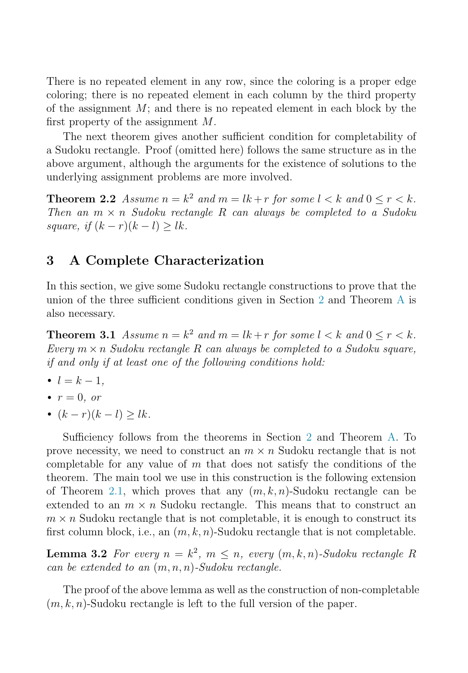There is no repeated element in any row, since the coloring is a proper edge coloring; there is no repeated element in each column by the third property of the assignment  $M$ ; and there is no repeated element in each block by the first property of the assignment  $M$ .

<span id="page-5-1"></span>The next theorem gives another sufficient condition for completability of a Sudoku rectangle. Proof (omitted here) follows the same structure as in the above argument, although the arguments for the existence of solutions to the underlying assignment problems are more involved.

<span id="page-5-0"></span>**Theorem 2.2** Assume  $n = k^2$  and  $m = lk + r$  for some  $l < k$  and  $0 \le r < k$ . Then an  $m \times n$  Sudoku rectangle R can always be completed to a Sudoku square, if  $(k - r)(k - l) > lk$ .

### 3 A Complete Characterization

In this section, we give some Sudoku rectangle constructions to prove that the union of the three sufficient conditions given in Section [2](#page-3-0) and Theorem [A](#page-2-1) is also necessary.

**Theorem 3.1** Assume  $n = k^2$  and  $m = lk + r$  for some  $l < k$  and  $0 \le r < k$ . Every  $m \times n$  Sudoku rectangle R can always be completed to a Sudoku square, if and only if at least one of the following conditions hold:

- $l = k 1$ ,
- $r = 0$ , or
- $(k r)(k l) > lk$ .

Sufficiency follows from the theorems in Section [2](#page-3-0) and Theorem [A.](#page-2-1) To prove necessity, we need to construct an  $m \times n$  Sudoku rectangle that is not completable for any value of  $m$  that does not satisfy the conditions of the theorem. The main tool we use in this construction is the following extension of Theorem [2.1,](#page-3-1) which proves that any  $(m, k, n)$ -Sudoku rectangle can be extended to an  $m \times n$  Sudoku rectangle. This means that to construct an  $m \times n$  Sudoku rectangle that is not completable, it is enough to construct its first column block, i.e., an  $(m, k, n)$ -Sudoku rectangle that is not completable.

**Lemma 3.2** For every  $n = k^2$ ,  $m \leq n$ , every  $(m, k, n)$ -Sudoku rectangle R can be extended to an  $(m, n, n)$ -Sudoku rectangle.

The proof of the above lemma as well as the construction of non-completable  $(m, k, n)$ -Sudoku rectangle is left to the full version of the paper.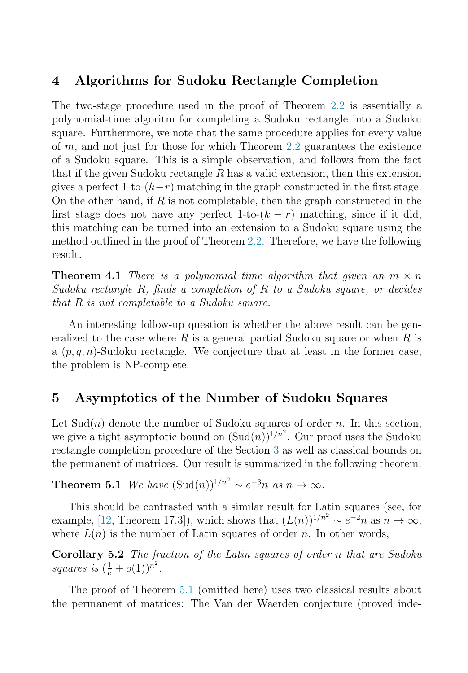## <span id="page-6-0"></span>4 Algorithms for Sudoku Rectangle Completion

The two-stage procedure used in the proof of Theorem [2.2](#page-5-1) is essentially a polynomial-time algoritm for completing a Sudoku rectangle into a Sudoku square. Furthermore, we note that the same procedure applies for every value of  $m$ , and not just for those for which Theorem [2.2](#page-5-1) guarantees the existence of a Sudoku square. This is a simple observation, and follows from the fact that if the given Sudoku rectangle  $R$  has a valid extension, then this extension gives a perfect 1-to- $(k-r)$  matching in the graph constructed in the first stage. On the other hand, if  $R$  is not completable, then the graph constructed in the first stage does not have any perfect 1-to- $(k - r)$  matching, since if it did, this matching can be turned into an extension to a Sudoku square using the method outlined in the proof of Theorem [2.2.](#page-5-1) Therefore, we have the following result.

**Theorem 4.1** There is a polynomial time algorithm that given an  $m \times n$ Sudoku rectangle  $R$ , finds a completion of  $R$  to a Sudoku square, or decides that R is not completable to a Sudoku square.

<span id="page-6-1"></span>An interesting follow-up question is whether the above result can be generalized to the case where  $R$  is a general partial Sudoku square or when  $R$  is a  $(p, q, n)$ -Sudoku rectangle. We conjecture that at least in the former case, the problem is NP-complete.

## 5 Asymptotics of the Number of Sudoku Squares

<span id="page-6-2"></span>Let  $Sud(n)$  denote the number of Sudoku squares of order n. In this section, we give a tight asymptotic bound on  $(\text{Sud}(n))^{1/n^2}$ . Our proof uses the Sudoku rectangle completion procedure of the Section [3](#page-5-0) as well as classical bounds on the permanent of matrices. Our result is summarized in the following theorem.

**Theorem 5.1** We have  $(\text{Sud}(n))^{1/n^2} \sim e^{-3n}$  as  $n \to \infty$ .

This should be contrasted with a similar result for Latin squares (see, for example, [\[12,](#page-8-0) Theorem 17.3]), which shows that  $(L(n))^{1/n^2} \sim e^{-2n}$  as  $n \to \infty$ , where  $L(n)$  is the number of Latin squares of order n. In other words,

Corollary 5.2 The fraction of the Latin squares of order n that are Sudoku squares is  $\left(\frac{1}{e}+o(1)\right)^{n^2}$ .

The proof of Theorem [5.1](#page-6-2) (omitted here) uses two classical results about the permanent of matrices: The Van der Waerden conjecture (proved inde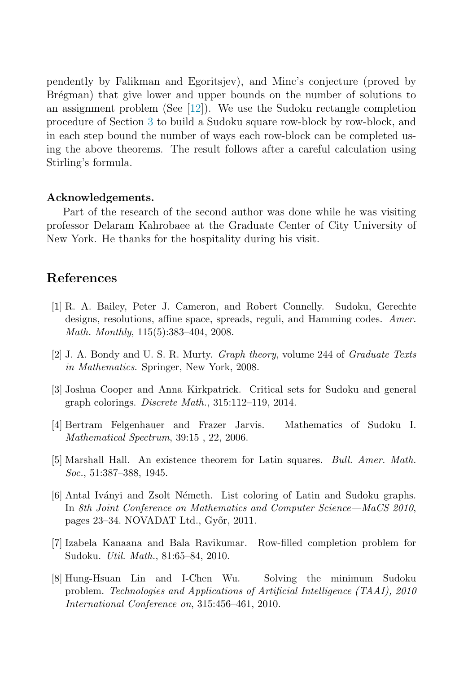pendently by Falikman and Egoritsjev), and Minc's conjecture (proved by Brégman) that give lower and upper bounds on the number of solutions to an assignment problem (See [\[12\]](#page-8-0)). We use the Sudoku rectangle completion procedure of Section [3](#page-5-0) to build a Sudoku square row-block by row-block, and in each step bound the number of ways each row-block can be completed using the above theorems. The result follows after a careful calculation using Stirling's formula.

#### Acknowledgements.

<span id="page-7-7"></span>Part of the research of the second author was done while he was visiting professor Delaram Kahrobaee at the Graduate Center of City University of New York. He thanks for the hospitality during his visit.

#### References

- <span id="page-7-6"></span><span id="page-7-1"></span>[1] R. A. Bailey, Peter J. Cameron, and Robert Connelly. Sudoku, Gerechte designs, resolutions, affine space, spreads, reguli, and Hamming codes. *Amer. Math. Monthly*, 115(5):383–404, 2008.
- <span id="page-7-4"></span>[2] J. A. Bondy and U. S. R. Murty. *Graph theory*, volume 244 of *Graduate Texts in Mathematics*. Springer, New York, 2008.
- <span id="page-7-2"></span>[3] Joshua Cooper and Anna Kirkpatrick. Critical sets for Sudoku and general graph colorings. *Discrete Math.*, 315:112–119, 2014.
- <span id="page-7-0"></span>[4] Bertram Felgenhauer and Frazer Jarvis. Mathematics of Sudoku I. *Mathematical Spectrum*, 39:15 , 22, 2006.
- [5] Marshall Hall. An existence theorem for Latin squares. *Bull. Amer. Math. Soc.*, 51:387–388, 1945.
- <span id="page-7-5"></span><span id="page-7-3"></span>[6] Antal Iv´anyi and Zsolt N´emeth. List coloring of Latin and Sudoku graphs. In *8th Joint Conference on Mathematics and Computer Science—MaCS 2010*, pages 23–34. NOVADAT Ltd., Győr, 2011.
- [7] Izabela Kanaana and Bala Ravikumar. Row-filled completion problem for Sudoku. *Util. Math.*, 81:65–84, 2010.
- [8] Hung-Hsuan Lin and I-Chen Wu. Solving the minimum Sudoku problem. *Technologies and Applications of Artificial Intelligence (TAAI), 2010 International Conference on*, 315:456–461, 2010.